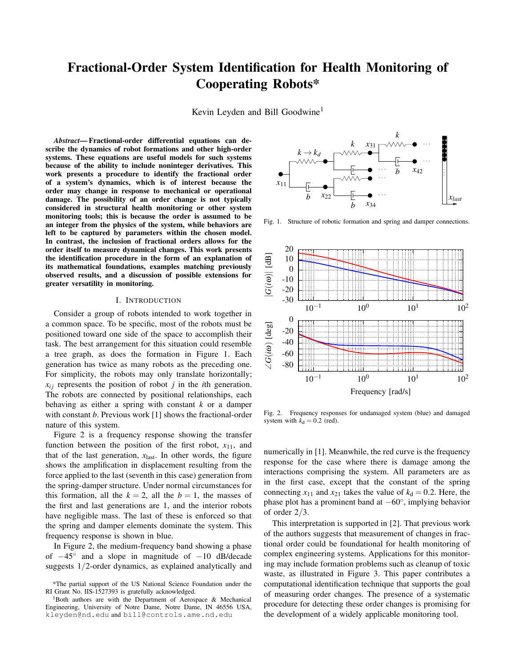# Fractional-Order System Identification for Health Monitoring of Cooperating Robots\*

Kevin Leyden and Bill Goodwine<sup>1</sup>

*Abstract*— Fractional-order differential equations can describe the dynamics of robot formations and other high-order systems. These equations are useful models for such systems because of the ability to include noninteger derivatives. This work presents a procedure to identify the fractional order of a system's dynamics, which is of interest because the order may change in response to mechanical or operational damage. The possibility of an order change is not typically considered in structural health monitoring or other system monitoring tools; this is because the order is assumed to be an integer from the physics of the system, while behaviors are left to be captured by parameters within the chosen model. In contrast, the inclusion of fractional orders allows for the order itself to measure dynamical changes. This work presents the identification procedure in the form of an explanation of its mathematical foundations, examples matching previously observed results, and a discussion of possible extensions for greater versatility in monitoring.

## I. INTRODUCTION

Consider a group of robots intended to work together in a common space. To be specific, most of the robots must be positioned toward one side of the space to accomplish their task. The best arrangement for this situation could resemble a tree graph, as does the formation in Figure 1. Each generation has twice as many robots as the preceding one. For simplicity, the robots may only translate horizontally;  $x_{ij}$  represents the position of robot *j* in the *i*th generation. The robots are connected by positional relationships, each behaving as either a spring with constant *k* or a damper with constant *b*. Previous work [1] shows the fractional-order nature of this system.

Figure 2 is a frequency response showing the transfer function between the position of the first robot,  $x_{11}$ , and that of the last generation,  $x_{\text{last}}$ . In other words, the figure shows the amplification in displacement resulting from the force applied to the last (seventh in this case) generation from the spring-damper structure. Under normal circumstances for this formation, all the  $k = 2$ , all the  $b = 1$ , the masses of the first and last generations are 1, and the interior robots have negligible mass. The last of these is enforced so that the spring and damper elements dominate the system. This frequency response is shown in blue.

In Figure 2, the medium-frequency band showing a phase of −45◦ and a slope in magnitude of −10 dB/decade suggests 1/2-order dynamics, as explained analytically and



Fig. 1. Structure of robotic formation and spring and damper connections.



Fig. 2. Frequency responses for undamaged system (blue) and damaged system with  $k_d = 0.2$  (red).

numerically in [1]. Meanwhile, the red curve is the frequency response for the case where there is damage among the interactions comprising the system. All parameters are as in the first case, except that the constant of the spring connecting  $x_{11}$  and  $x_{21}$  takes the value of  $k_d = 0.2$ . Here, the phase plot has a prominent band at −60◦ , implying behavior of order 2/3.

This interpretation is supported in [2]. That previous work of the authors suggests that measurement of changes in fractional order could be foundational for health monitoring of complex engineering systems. Applications for this monitoring may include formation problems such as cleanup of toxic waste, as illustrated in Figure 3. This paper contributes a computational identification technique that supports the goal of measuring order changes. The presence of a systematic procedure for detecting these order changes is promising for the development of a widely applicable monitoring tool.

<sup>\*</sup>The partial support of the US National Science Foundation under the RI Grant No. IIS-1527393 is gratefully acknowledged.

<sup>&</sup>lt;sup>1</sup>Both authors are with the Department of Aerospace  $\&$  Mechanical Engineering, University of Notre Dame, Notre Dame, IN 46556 USA, kleyden@nd.edu and bill@controls.ame.nd.edu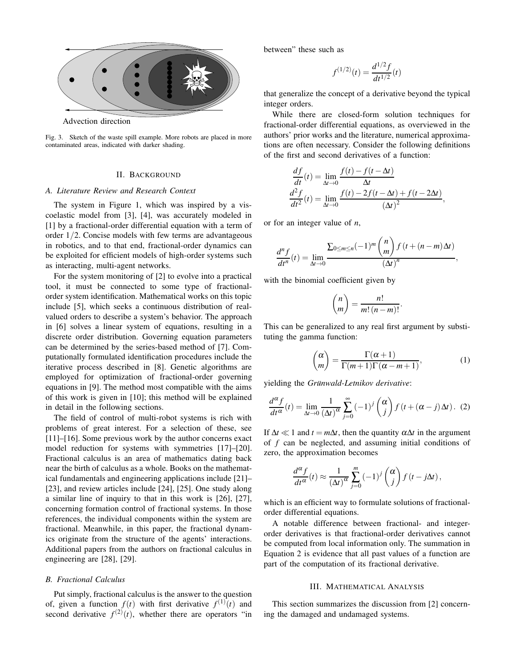

Fig. 3. Sketch of the waste spill example. More robots are placed in more contaminated areas, indicated with darker shading.

## II. BACKGROUND

#### *A. Literature Review and Research Context*

The system in Figure 1, which was inspired by a viscoelastic model from [3], [4], was accurately modeled in [1] by a fractional-order differential equation with a term of order 1/2. Concise models with few terms are advantageous in robotics, and to that end, fractional-order dynamics can be exploited for efficient models of high-order systems such as interacting, multi-agent networks.

For the system monitoring of [2] to evolve into a practical tool, it must be connected to some type of fractionalorder system identification. Mathematical works on this topic include [5], which seeks a continuous distribution of realvalued orders to describe a system's behavior. The approach in [6] solves a linear system of equations, resulting in a discrete order distribution. Governing equation parameters can be determined by the series-based method of [7]. Computationally formulated identification procedures include the iterative process described in [8]. Genetic algorithms are employed for optimization of fractional-order governing equations in [9]. The method most compatible with the aims of this work is given in [10]; this method will be explained in detail in the following sections.

The field of control of multi-robot systems is rich with problems of great interest. For a selection of these, see [11]–[16]. Some previous work by the author concerns exact model reduction for systems with symmetries [17]–[20]. Fractional calculus is an area of mathematics dating back near the birth of calculus as a whole. Books on the mathematical fundamentals and engineering applications include [21]– [23], and review articles include [24], [25]. One study along a similar line of inquiry to that in this work is [26], [27], concerning formation control of fractional systems. In those references, the individual components within the system are fractional. Meanwhile, in this paper, the fractional dynamics originate from the structure of the agents' interactions. Additional papers from the authors on fractional calculus in engineering are [28], [29].

## *B. Fractional Calculus*

Put simply, fractional calculus is the answer to the question of, given a function  $f(t)$  with first derivative  $f^{(1)}(t)$  and second derivative  $f^{(2)}(t)$ , whether there are operators "in

between" these such as

$$
f^{(1/2)}(t) = \frac{d^{1/2}f}{dt^{1/2}}(t)
$$

that generalize the concept of a derivative beyond the typical integer orders.

While there are closed-form solution techniques for fractional-order differential equations, as overviewed in the authors' prior works and the literature, numerical approximations are often necessary. Consider the following definitions of the first and second derivatives of a function:

$$
\frac{df}{dt}(t) = \lim_{\Delta t \to 0} \frac{f(t) - f(t - \Delta t)}{\Delta t}
$$

$$
\frac{d^2 f}{dt^2}(t) = \lim_{\Delta t \to 0} \frac{f(t) - 2f(t - \Delta t) + f(t - 2\Delta t)}{(\Delta t)^2},
$$

or for an integer value of *n*,

$$
\frac{d^n f}{dt^n}(t) = \lim_{\Delta t \to 0} \frac{\sum_{0 \le m \le n} (-1)^m \binom{n}{m} f(t + (n-m)\Delta t)}{(\Delta t)^n},
$$

with the binomial coefficient given by

$$
\binom{n}{m} = \frac{n!}{m!(n-m)!}.
$$

This can be generalized to any real first argument by substituting the gamma function:

$$
\binom{\alpha}{m} = \frac{\Gamma(\alpha+1)}{\Gamma(m+1)\Gamma(\alpha-m+1)},\tag{1}
$$

yielding the *Grünwald-Letnikov derivative*:

$$
\frac{d^{\alpha} f}{dt^{\alpha}}(t) = \lim_{\Delta t \to 0} \frac{1}{(\Delta t)^{\alpha}} \sum_{j=0}^{\infty} (-1)^{j} {\alpha \choose j} f(t + (\alpha - j) \Delta t).
$$
 (2)

If  $\Delta t \ll 1$  and  $t = m\Delta t$ , then the quantity  $\alpha \Delta t$  in the argument of *f* can be neglected, and assuming initial conditions of zero, the approximation becomes

$$
\frac{d^{\alpha} f}{dt^{\alpha}}(t) \approx \frac{1}{(\Delta t)^{\alpha}} \sum_{j=0}^{m} (-1)^{j} {\alpha \choose j} f(t - j\Delta t),
$$

which is an efficient way to formulate solutions of fractionalorder differential equations.

A notable difference between fractional- and integerorder derivatives is that fractional-order derivatives cannot be computed from local information only. The summation in Equation 2 is evidence that all past values of a function are part of the computation of its fractional derivative.

## III. MATHEMATICAL ANALYSIS

This section summarizes the discussion from [2] concerning the damaged and undamaged systems.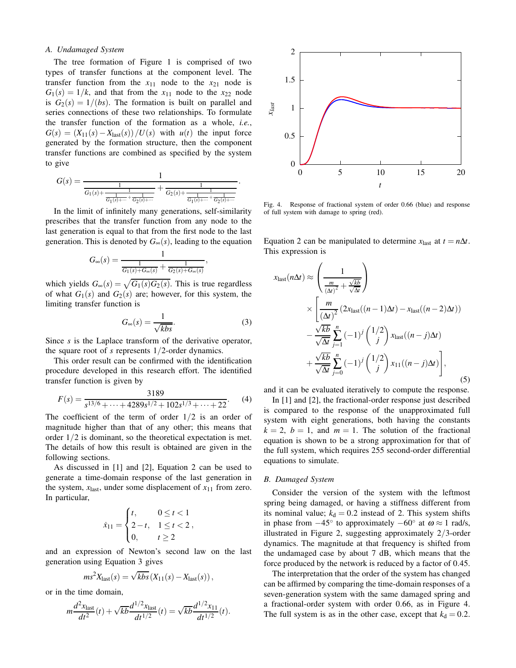# *A. Undamaged System*

The tree formation of Figure 1 is comprised of two types of transfer functions at the component level. The transfer function from the  $x_{11}$  node to the  $x_{21}$  node is  $G_1(s) = 1/k$ , and that from the  $x_{11}$  node to the  $x_{22}$  node is  $G_2(s) = 1/(bs)$ . The formation is built on parallel and series connections of these two relationships. To formulate the transfer function of the formation as a whole, *i.e.*,  $G(s) = (X_{11}(s) - X_{\text{last}}(s))/U(s)$  with  $u(t)$  the input force generated by the formation structure, then the component transfer functions are combined as specified by the system to give

$$
G(s) = \frac{1}{\frac{1}{G_1(s) + \frac{1}{\frac{1}{G_1(s) + \dots + \frac{1}{G_2(s) + \dotsb}}}} + \frac{1}{G_2(s) + \frac{1}{\frac{1}{G_1(s) + \dots + \frac{1}{G_2(s) + \dotsb}}}}}.
$$

In the limit of infinitely many generations, self-similarity prescribes that the transfer function from any node to the last generation is equal to that from the first node to the last generation. This is denoted by  $G_{\infty}(s)$ , leading to the equation

$$
G_{\infty}(s) = \frac{1}{\frac{1}{G_1(s) + G_{\infty}(s)} + \frac{1}{G_2(s) + G_{\infty}(s)}},
$$

which yields  $G_{\infty}(s) = \sqrt{G_1(s)G_2(s)}$ . This is true regardless of what  $G_1(s)$  and  $G_2(s)$  are; however, for this system, the limiting transfer function is

$$
G_{\infty}(s) = \frac{1}{\sqrt{kbs}}.\tag{3}
$$

Since *s* is the Laplace transform of the derivative operator, the square root of *s* represents 1/2-order dynamics.

This order result can be confirmed with the identification procedure developed in this research effort. The identified transfer function is given by

$$
F(s) = \frac{3189}{s^{13/6} + \dots + 4289s^{1/2} + 102s^{1/3} + \dots + 22}.
$$
 (4)

The coefficient of the term of order  $1/2$  is an order of magnitude higher than that of any other; this means that order 1/2 is dominant, so the theoretical expectation is met. The details of how this result is obtained are given in the following sections.

As discussed in [1] and [2], Equation 2 can be used to generate a time-domain response of the last generation in the system,  $x_{\text{last}}$ , under some displacement of  $x_{11}$  from zero. In particular,

$$
\dot{x}_{11} = \begin{cases} t, & 0 \le t < 1 \\ 2 - t, & 1 \le t < 2 \\ 0, & t \ge 2 \end{cases}
$$

and an expression of Newton's second law on the last generation using Equation 3 gives

$$
ms^2X_{\text{last}}(s) = \sqrt{kbs} (X_{11}(s) - X_{\text{last}}(s)),
$$

or in the time domain,

$$
m\frac{d^2x_{\text{last}}}{dt^2}(t) + \sqrt{kb}\frac{d^{1/2}x_{\text{last}}}{dt^{1/2}}(t) = \sqrt{kb}\frac{d^{1/2}x_{11}}{dt^{1/2}}(t).
$$



Fig. 4. Response of fractional system of order 0.66 (blue) and response of full system with damage to spring (red).

Equation 2 can be manipulated to determine  $x_{\text{last}}$  at  $t = n\Delta t$ . This expression is

$$
x_{\text{last}}(n\Delta t) \approx \left(\frac{1}{\frac{m}{(\Delta t)^2} + \frac{\sqrt{kb}}{\sqrt{\Delta t}}}\right)
$$
  
 
$$
\times \left[\frac{m}{(\Delta t)^2} (2x_{\text{last}}((n-1)\Delta t) - x_{\text{last}}((n-2)\Delta t)) - \frac{\sqrt{kb}}{\sqrt{\Delta t}} \sum_{j=1}^n (-1)^j {1/2 \choose j} x_{\text{last}}((n-j)\Delta t) + \frac{\sqrt{kb}}{\sqrt{\Delta t}} \sum_{j=0}^n (-1)^j {1/2 \choose j} x_{11}((n-j)\Delta t) \right],
$$
(5)

and it can be evaluated iteratively to compute the response.

In [1] and [2], the fractional-order response just described is compared to the response of the unapproximated full system with eight generations, both having the constants  $k = 2$ ,  $b = 1$ , and  $m = 1$ . The solution of the fractional equation is shown to be a strong approximation for that of the full system, which requires 255 second-order differential equations to simulate.

#### *B. Damaged System*

Consider the version of the system with the leftmost spring being damaged, or having a stiffness different from its nominal value;  $k_d = 0.2$  instead of 2. This system shifts in phase from  $-45^\circ$  to approximately  $-60^\circ$  at  $\omega \approx 1$  rad/s, illustrated in Figure 2, suggesting approximately 2/3-order dynamics. The magnitude at that frequency is shifted from the undamaged case by about 7 dB, which means that the force produced by the network is reduced by a factor of 0.45.

The interpretation that the order of the system has changed can be affirmed by comparing the time-domain responses of a seven-generation system with the same damaged spring and a fractional-order system with order 0.66, as in Figure 4. The full system is as in the other case, except that  $k_d = 0.2$ .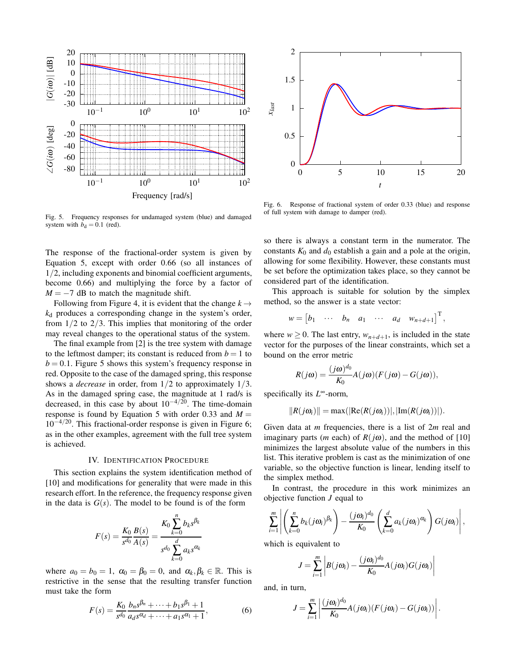

Fig. 5. Frequency responses for undamaged system (blue) and damaged system with  $b_d = 0.1$  (red).

The response of the fractional-order system is given by Equation 5, except with order 0.66 (so all instances of 1/2, including exponents and binomial coefficient arguments, become 0.66) and multiplying the force by a factor of  $M = -7$  dB to match the magnitude shift.

Following from Figure 4, it is evident that the change  $k \rightarrow$ *k*<sup>d</sup> produces a corresponding change in the system's order, from  $1/2$  to  $2/3$ . This implies that monitoring of the order may reveal changes to the operational status of the system.

The final example from [2] is the tree system with damage to the leftmost damper; its constant is reduced from  $b = 1$  to  $b = 0.1$ . Figure 5 shows this system's frequency response in red. Opposite to the case of the damaged spring, this response shows a *decrease* in order, from 1/2 to approximately 1/3. As in the damaged spring case, the magnitude at 1 rad/s is decreased, in this case by about  $10^{-4/20}$ . The time-domain response is found by Equation 5 with order 0.33 and  $M =$  $10^{-4/20}$ . This fractional-order response is given in Figure 6; as in the other examples, agreement with the full tree system is achieved.

# IV. IDENTIFICATION PROCEDURE

This section explains the system identification method of [10] and modifications for generality that were made in this research effort. In the reference, the frequency response given in the data is  $G(s)$ . The model to be found is of the form

$$
F(s) = \frac{K_0}{s^{d_0}} \frac{B(s)}{A(s)} = \frac{K_0 \sum_{k=0}^{n} b_k s^{\beta_k}}{s^{d_0} \sum_{k=0}^{d} a_k s^{\alpha_k}}
$$

where  $a_0 = b_0 = 1$ ,  $\alpha_0 = \beta_0 = 0$ , and  $\alpha_k, \beta_k \in \mathbb{R}$ . This is restrictive in the sense that the resulting transfer function must take the form

$$
F(s) = \frac{K_0}{s^{d_0}} \frac{b_n s^{\beta_n} + \dots + b_1 s^{\beta_1} + 1}{a_d s^{\alpha_d} + \dots + a_1 s^{\alpha_1} + 1},
$$
(6)



Fig. 6. Response of fractional system of order 0.33 (blue) and response of full system with damage to damper (red).

so there is always a constant term in the numerator. The constants  $K_0$  and  $d_0$  establish a gain and a pole at the origin, allowing for some flexibility. However, these constants must be set before the optimization takes place, so they cannot be considered part of the identification.

This approach is suitable for solution by the simplex method, so the answer is a state vector:

$$
w = \begin{bmatrix} b_1 & \cdots & b_n & a_1 & \cdots & a_d & w_{n+d+1} \end{bmatrix}^\mathrm{T},
$$

where  $w \ge 0$ . The last entry,  $w_{n+d+1}$ , is included in the state vector for the purposes of the linear constraints, which set a bound on the error metric

$$
R(j\omega) = \frac{(j\omega)^{d_0}}{K_0} A(j\omega) (F(j\omega) - G(j\omega)),
$$

specifically its *L*<sup>∞</sup>-norm,

$$
||R(j\omega_i)|| = \max(|\text{Re}(R(j\omega_i))|, |\text{Im}(R(j\omega_i))|).
$$

Given data at *m* frequencies, there is a list of 2*m* real and imaginary parts (*m* each) of  $R(j\omega)$ , and the method of [10] minimizes the largest absolute value of the numbers in this list. This iterative problem is cast as the minimization of one variable, so the objective function is linear, lending itself to the simplex method.

In contrast, the procedure in this work minimizes an objective function *J* equal to

$$
\sum_{i=1}^m \left| \left( \sum_{k=0}^n b_k(j\omega_i)^{\beta_k} \right) - \frac{(j\omega_i)^{d_0}}{K_0} \left( \sum_{k=0}^d a_k(j\omega_i)^{\alpha_k} \right) G(j\omega_i) \right|,
$$

which is equivalent to

$$
J = \sum_{i=1}^{m} \left| B(j\omega_i) - \frac{(j\omega_i)^{d_0}}{K_0} A(j\omega_i) G(j\omega_i) \right|
$$

and, in turn,

$$
J = \sum_{i=1}^m \left| \frac{(j\omega_i)^{d_0}}{K_0} A(j\omega_i) (F(j\omega_i) - G(j\omega_i)) \right|.
$$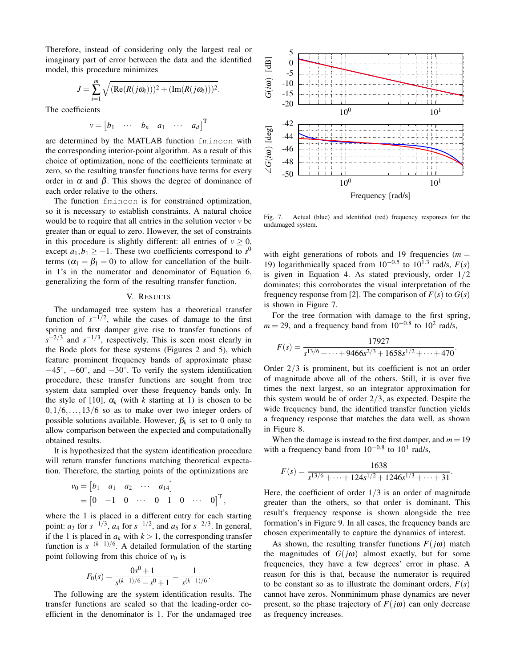Therefore, instead of considering only the largest real or imaginary part of error between the data and the identified model, this procedure minimizes

$$
J = \sum_{i=1}^{m} \sqrt{(\text{Re}(R(j\omega_i)))^2 + (\text{Im}(R(j\omega_i)))^2}
$$

.

The coefficients

$$
v = \begin{bmatrix} b_1 & \cdots & b_n & a_1 & \cdots & a_d \end{bmatrix}^\mathrm{T}
$$

are determined by the MATLAB function fmincon with the corresponding interior-point algorithm. As a result of this choice of optimization, none of the coefficients terminate at zero, so the resulting transfer functions have terms for every order in  $\alpha$  and  $\beta$ . This shows the degree of dominance of each order relative to the others.

The function fmincon is for constrained optimization, so it is necessary to establish constraints. A natural choice would be to require that all entries in the solution vector *v* be greater than or equal to zero. However, the set of constraints in this procedure is slightly different: all entries of  $v \ge 0$ , except  $a_1, b_1 \geq -1$ . These two coefficients correspond to  $s^0$ terms ( $\alpha_1 = \beta_1 = 0$ ) to allow for cancellation of the builtin 1's in the numerator and denominator of Equation 6, generalizing the form of the resulting transfer function.

## V. RESULTS

The undamaged tree system has a theoretical transfer function of  $s^{-1/2}$ , while the cases of damage to the first spring and first damper give rise to transfer functions of  $s^{-2/3}$  and  $s^{-1/3}$ , respectively. This is seen most clearly in the Bode plots for these systems (Figures 2 and 5), which feature prominent frequency bands of approximate phase  $-45^\circ$ ,  $-60^\circ$ , and  $-30^\circ$ . To verify the system identification procedure, these transfer functions are sought from tree system data sampled over these frequency bands only. In the style of [10],  $\alpha_k$  (with *k* starting at 1) is chosen to be  $0,1/6,\ldots,13/6$  so as to make over two integer orders of possible solutions available. However,  $\beta_k$  is set to 0 only to allow comparison between the expected and computationally obtained results.

It is hypothesized that the system identification procedure will return transfer functions matching theoretical expectation. Therefore, the starting points of the optimizations are

$$
v_0 = [b_1 \quad a_1 \quad a_2 \quad \cdots \quad a_{14}]
$$
  
=  $[0 \quad -1 \quad 0 \quad \cdots \quad 0 \quad 1 \quad 0 \quad \cdots \quad 0]^{T}$ ,

where the 1 is placed in a different entry for each starting point: *a*<sub>3</sub> for  $s^{-1/3}$ , *a*<sub>4</sub> for  $s^{-1/2}$ , and *a*<sub>5</sub> for  $s^{-2/3}$ . In general, if the 1 is placed in  $a_k$  with  $k > 1$ , the corresponding transfer function is  $s^{-(k-1)/6}$ . A detailed formulation of the starting point following from this choice of  $v_0$  is

$$
F_0(s) = \frac{0s^0 + 1}{s^{(k-1)/6} - s^0 + 1} = \frac{1}{s^{(k-1)/6}}.
$$

The following are the system identification results. The transfer functions are scaled so that the leading-order coefficient in the denominator is 1. For the undamaged tree



Fig. 7. Actual (blue) and identified (red) frequency responses for the undamaged system.

with eight generations of robots and 19 frequencies  $(m =$ 19) logarithmically spaced from  $10^{-0.5}$  to  $10^{1.3}$  rad/s,  $F(s)$ is given in Equation 4. As stated previously, order  $1/2$ dominates; this corroborates the visual interpretation of the frequency response from [2]. The comparison of  $F(s)$  to  $G(s)$ is shown in Figure 7.

For the tree formation with damage to the first spring,  $m = 29$ , and a frequency band from  $10^{-0.8}$  to  $10^2$  rad/s,

$$
F(s) = \frac{17927}{s^{13/6} + \dots + 9466s^{2/3} + 1658s^{1/2} + \dots + 470}.
$$

Order 2/3 is prominent, but its coefficient is not an order of magnitude above all of the others. Still, it is over five times the next largest, so an integrator approximation for this system would be of order  $2/3$ , as expected. Despite the wide frequency band, the identified transfer function yields a frequency response that matches the data well, as shown in Figure 8.

When the damage is instead to the first damper, and  $m = 19$ with a frequency band from  $10^{-0.8}$  to  $10^1$  rad/s,

$$
F(s) = \frac{1638}{s^{13/6} + \dots + 124s^{1/2} + 1246s^{1/3} + \dots + 31}.
$$

Here, the coefficient of order  $1/3$  is an order of magnitude greater than the others, so that order is dominant. This result's frequency response is shown alongside the tree formation's in Figure 9. In all cases, the frequency bands are chosen experimentally to capture the dynamics of interest.

As shown, the resulting transfer functions  $F(j\omega)$  match the magnitudes of  $G(j\omega)$  almost exactly, but for some frequencies, they have a few degrees' error in phase. A reason for this is that, because the numerator is required to be constant so as to illustrate the dominant orders,  $F(s)$ cannot have zeros. Nonminimum phase dynamics are never present, so the phase trajectory of  $F(j\omega)$  can only decrease as frequency increases.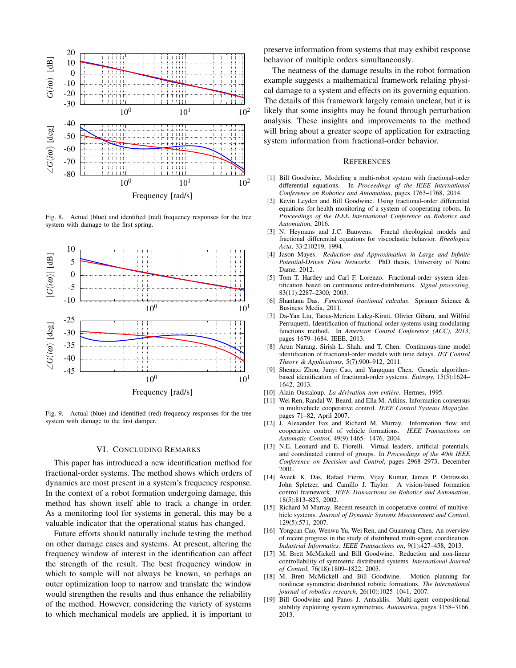

Fig. 8. Actual (blue) and identified (red) frequency responses for the tree system with damage to the first spring.



Fig. 9. Actual (blue) and identified (red) frequency responses for the tree system with damage to the first damper.

## VI. CONCLUDING REMARKS

This paper has introduced a new identification method for fractional-order systems. The method shows which orders of dynamics are most present in a system's frequency response. In the context of a robot formation undergoing damage, this method has shown itself able to track a change in order. As a monitoring tool for systems in general, this may be a valuable indicator that the operational status has changed.

Future efforts should naturally include testing the method on other damage cases and systems. At present, altering the frequency window of interest in the identification can affect the strength of the result. The best frequency window in which to sample will not always be known, so perhaps an outer optimization loop to narrow and translate the window would strengthen the results and thus enhance the reliability of the method. However, considering the variety of systems to which mechanical models are applied, it is important to

preserve information from systems that may exhibit response behavior of multiple orders simultaneously.

The neatness of the damage results in the robot formation example suggests a mathematical framework relating physical damage to a system and effects on its governing equation. The details of this framework largely remain unclear, but it is likely that some insights may be found through perturbation analysis. These insights and improvements to the method will bring about a greater scope of application for extracting system information from fractional-order behavior.

#### **REFERENCES**

- [1] Bill Goodwine. Modeling a multi-robot system with fractional-order differential equations. In *Proceedings of the IEEE International Conference on Robotics and Automation*, pages 1763–1768, 2014.
- [2] Kevin Leyden and Bill Goodwine. Using fractional-order differential equations for health monitoring of a system of cooperating robots. In *Proceedings of the IEEE International Conference on Robotics and Automation*, 2016.
- [3] N. Heymans and J.C. Bauwens. Fractal rheological models and fractional differential equations for viscoelastic behavior. *Rheologica Acta*, 33:210219, 1994.
- [4] Jason Mayes. *Reduction and Approximation in Large and Infinite Potential-Driven Flow Networks*. PhD thesis, University of Notre Dame, 2012.
- [5] Tom T. Hartley and Carl F. Lorenzo. Fractional-order system identification based on continuous order-distributions. *Signal processing*, 83(11):2287–2300, 2003.
- [6] Shantanu Das. *Functional fractional calculus*. Springer Science & Business Media, 2011.
- [7] Da-Yan Liu, Taous-Meriem Laleg-Kirati, Olivier Gibaru, and Wilfrid Perruquetti. Identification of fractional order systems using modulating functions method. In *American Control Conference (ACC), 2013*, pages 1679–1684. IEEE, 2013.
- [8] Arun Narang, Sirish L. Shah, and T. Chen. Continuous-time model identification of fractional-order models with time delays. *IET Control Theory & Applications*, 5(7):900–912, 2011.
- [9] Shengxi Zhou, Junyi Cao, and Yangquan Chen. Genetic algorithmbased identification of fractional-order systems. *Entropy*, 15(5):1624– 1642, 2013.
- [10] Alain Oustaloup. *La dérivation non entière*. Hermes, 1995.
- [11] Wei Ren, Randal W. Beard, and Ella M. Atkins. Information consensus in multivehicle cooperative control. *IEEE Control Systems Magazine*, pages 71–82, April 2007.
- [12] J. Alexander Fax and Richard M. Murray. Information flow and cooperative control of vehicle formations. *IEEE Transactions on Automatic Control*, 49(9):1465– 1476, 2004.
- [13] N.E. Leonard and E. Fiorelli. Virtual leaders, artificial potentials, and coordinated control of groups. In *Proceedings of the 40th IEEE Conference on Decision and Control*, pages 2968–2973, December 2001.
- [14] Aveek K. Das, Rafael Fierro, Vijay Kumar, James P. Ostrowski, John Spletzer, and Camillo J. Taylor. A vision-based formation control framework. *IEEE Transactions on Robotics and Automation*, 18(5):813–825, 2002.
- [15] Richard M Murray. Recent research in cooperative control of multivehicle systems. *Journal of Dynamic Systems Measurement and Control*, 129(5):571, 2007.
- [16] Yongcan Cao, Wenwu Yu, Wei Ren, and Guanrong Chen. An overview of recent progress in the study of distributed multi-agent coordination. *Industrial Informatics, IEEE Transactions on*, 9(1):427–438, 2013.
- [17] M. Brett McMickell and Bill Goodwine. Reduction and non-linear controllability of symmetric distributed systems. *International Journal of Control*, 76(18):1809–1822, 2003.
- [18] M. Brett McMickell and Bill Goodwine. Motion planning for nonlinear symmetric distributed robotic formations. *The International journal of robotics research*, 26(10):1025–1041, 2007.
- [19] Bill Goodwine and Panos J. Antsaklis. Multi-agent compositional stability exploiting system symmetries. *Automatica*, pages 3158–3166, 2013.